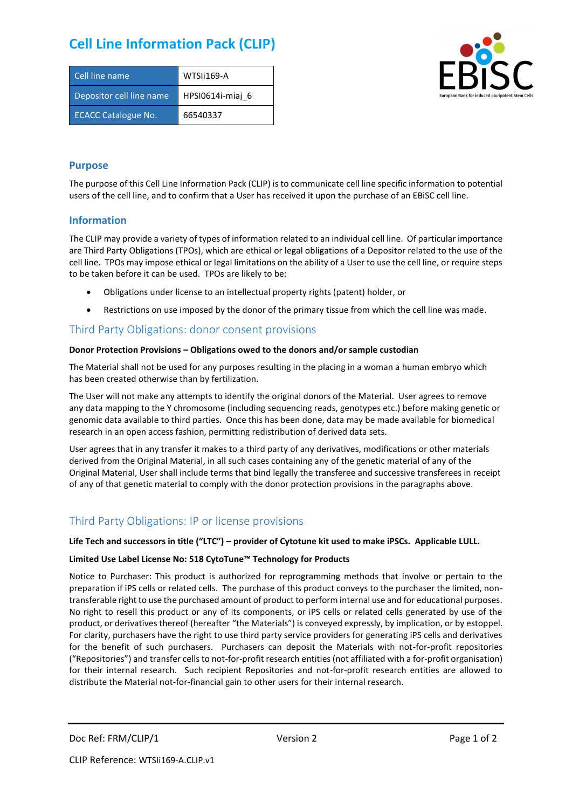# **Cell Line Information Pack (CLIP)**

| Cell line name             | WTSIi169-A       |
|----------------------------|------------------|
| Depositor cell line name   | HPSI0614i-miaj 6 |
| <b>ECACC Catalogue No.</b> | 66540337         |



## **Purpose**

The purpose of this Cell Line Information Pack (CLIP) is to communicate cell line specific information to potential users of the cell line, and to confirm that a User has received it upon the purchase of an EBiSC cell line.

### **Information**

The CLIP may provide a variety of types of information related to an individual cell line. Of particular importance are Third Party Obligations (TPOs), which are ethical or legal obligations of a Depositor related to the use of the cell line. TPOs may impose ethical or legal limitations on the ability of a User to use the cell line, or require steps to be taken before it can be used. TPOs are likely to be:

- Obligations under license to an intellectual property rights (patent) holder, or
- Restrictions on use imposed by the donor of the primary tissue from which the cell line was made.

## Third Party Obligations: donor consent provisions

#### **Donor Protection Provisions – Obligations owed to the donors and/or sample custodian**

The Material shall not be used for any purposes resulting in the placing in a woman a human embryo which has been created otherwise than by fertilization.

The User will not make any attempts to identify the original donors of the Material. User agrees to remove any data mapping to the Y chromosome (including sequencing reads, genotypes etc.) before making genetic or genomic data available to third parties. Once this has been done, data may be made available for biomedical research in an open access fashion, permitting redistribution of derived data sets.

User agrees that in any transfer it makes to a third party of any derivatives, modifications or other materials derived from the Original Material, in all such cases containing any of the genetic material of any of the Original Material, User shall include terms that bind legally the transferee and successive transferees in receipt of any of that genetic material to comply with the donor protection provisions in the paragraphs above.

# Third Party Obligations: IP or license provisions

#### **Life Tech and successors in title ("LTC") – provider of Cytotune kit used to make iPSCs. Applicable LULL.**

#### **Limited Use Label License No: 518 CytoTune™ Technology for Products**

Notice to Purchaser: This product is authorized for reprogramming methods that involve or pertain to the preparation if iPS cells or related cells. The purchase of this product conveys to the purchaser the limited, nontransferable right to use the purchased amount of product to perform internal use and for educational purposes. No right to resell this product or any of its components, or iPS cells or related cells generated by use of the product, or derivatives thereof (hereafter "the Materials") is conveyed expressly, by implication, or by estoppel. For clarity, purchasers have the right to use third party service providers for generating iPS cells and derivatives for the benefit of such purchasers. Purchasers can deposit the Materials with not-for-profit repositories ("Repositories") and transfer cells to not-for-profit research entities (not affiliated with a for-profit organisation) for their internal research. Such recipient Repositories and not-for-profit research entities are allowed to distribute the Material not-for-financial gain to other users for their internal research.

Doc Ref: FRM/CLIP/1 Version 2 Version 2 Page 1 of 2